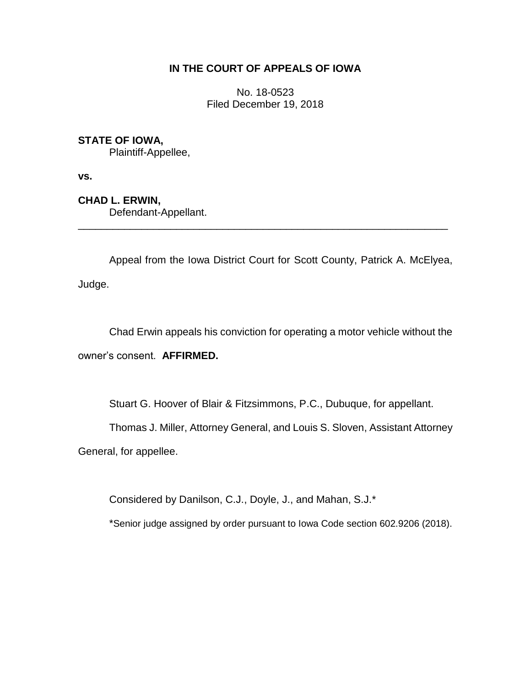## **IN THE COURT OF APPEALS OF IOWA**

No. 18-0523 Filed December 19, 2018

## **STATE OF IOWA,**

Plaintiff-Appellee,

**vs.**

**CHAD L. ERWIN,** Defendant-Appellant.

Appeal from the Iowa District Court for Scott County, Patrick A. McElyea, Judge.

\_\_\_\_\_\_\_\_\_\_\_\_\_\_\_\_\_\_\_\_\_\_\_\_\_\_\_\_\_\_\_\_\_\_\_\_\_\_\_\_\_\_\_\_\_\_\_\_\_\_\_\_\_\_\_\_\_\_\_\_\_\_\_\_

Chad Erwin appeals his conviction for operating a motor vehicle without the owner's consent. **AFFIRMED.**

Stuart G. Hoover of Blair & Fitzsimmons, P.C., Dubuque, for appellant.

Thomas J. Miller, Attorney General, and Louis S. Sloven, Assistant Attorney

General, for appellee.

Considered by Danilson, C.J., Doyle, J., and Mahan, S.J.\*

\*Senior judge assigned by order pursuant to Iowa Code section 602.9206 (2018).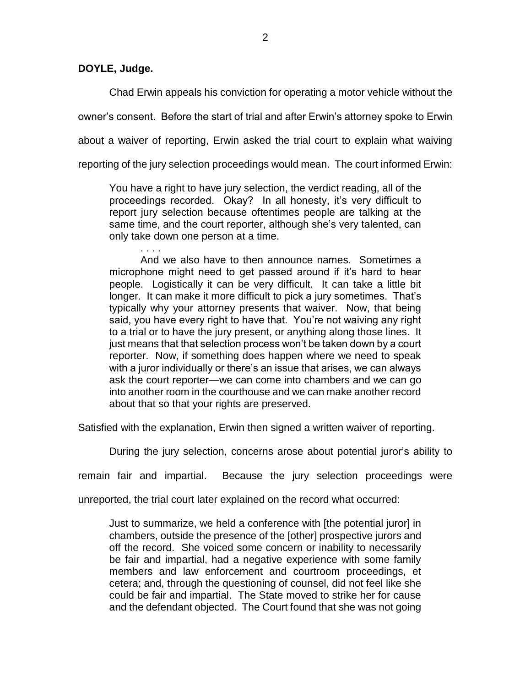**DOYLE, Judge.**

Chad Erwin appeals his conviction for operating a motor vehicle without the owner's consent. Before the start of trial and after Erwin's attorney spoke to Erwin about a waiver of reporting, Erwin asked the trial court to explain what waiving reporting of the jury selection proceedings would mean. The court informed Erwin:

You have a right to have jury selection, the verdict reading, all of the proceedings recorded. Okay? In all honesty, it's very difficult to report jury selection because oftentimes people are talking at the same time, and the court reporter, although she's very talented, can only take down one person at a time.

. . . . And we also have to then announce names. Sometimes a microphone might need to get passed around if it's hard to hear people. Logistically it can be very difficult. It can take a little bit longer. It can make it more difficult to pick a jury sometimes. That's typically why your attorney presents that waiver. Now, that being said, you have every right to have that. You're not waiving any right to a trial or to have the jury present, or anything along those lines. It just means that that selection process won't be taken down by a court reporter. Now, if something does happen where we need to speak with a juror individually or there's an issue that arises, we can always ask the court reporter—we can come into chambers and we can go into another room in the courthouse and we can make another record about that so that your rights are preserved.

Satisfied with the explanation, Erwin then signed a written waiver of reporting.

During the jury selection, concerns arose about potential juror's ability to

remain fair and impartial. Because the jury selection proceedings were

unreported, the trial court later explained on the record what occurred:

Just to summarize, we held a conference with [the potential juror] in chambers, outside the presence of the [other] prospective jurors and off the record. She voiced some concern or inability to necessarily be fair and impartial, had a negative experience with some family members and law enforcement and courtroom proceedings, et cetera; and, through the questioning of counsel, did not feel like she could be fair and impartial. The State moved to strike her for cause and the defendant objected. The Court found that she was not going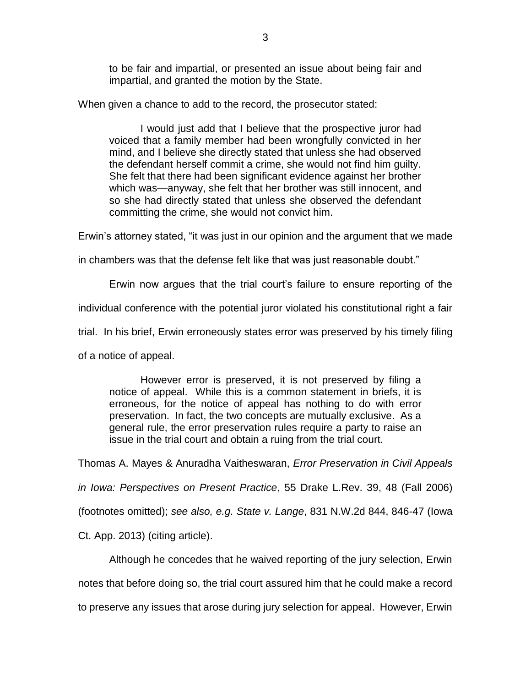to be fair and impartial, or presented an issue about being fair and impartial, and granted the motion by the State.

When given a chance to add to the record, the prosecutor stated:

I would just add that I believe that the prospective juror had voiced that a family member had been wrongfully convicted in her mind, and I believe she directly stated that unless she had observed the defendant herself commit a crime, she would not find him guilty. She felt that there had been significant evidence against her brother which was—anyway, she felt that her brother was still innocent, and so she had directly stated that unless she observed the defendant committing the crime, she would not convict him.

Erwin's attorney stated, "it was just in our opinion and the argument that we made

in chambers was that the defense felt like that was just reasonable doubt."

Erwin now argues that the trial court's failure to ensure reporting of the

individual conference with the potential juror violated his constitutional right a fair

trial. In his brief, Erwin erroneously states error was preserved by his timely filing

of a notice of appeal.

However error is preserved, it is not preserved by filing a notice of appeal. While this is a common statement in briefs, it is erroneous, for the notice of appeal has nothing to do with error preservation. In fact, the two concepts are mutually exclusive. As a general rule, the error preservation rules require a party to raise an issue in the trial court and obtain a ruing from the trial court.

Thomas A. Mayes & Anuradha Vaitheswaran, *Error Preservation in Civil Appeals* 

*in Iowa: Perspectives on Present Practice*, 55 Drake L.Rev. 39, 48 (Fall 2006)

(footnotes omitted); *see also, e.g. State v. Lange*, 831 N.W.2d 844, 846-47 (Iowa

Ct. App. 2013) (citing article).

Although he concedes that he waived reporting of the jury selection, Erwin notes that before doing so, the trial court assured him that he could make a record to preserve any issues that arose during jury selection for appeal. However, Erwin